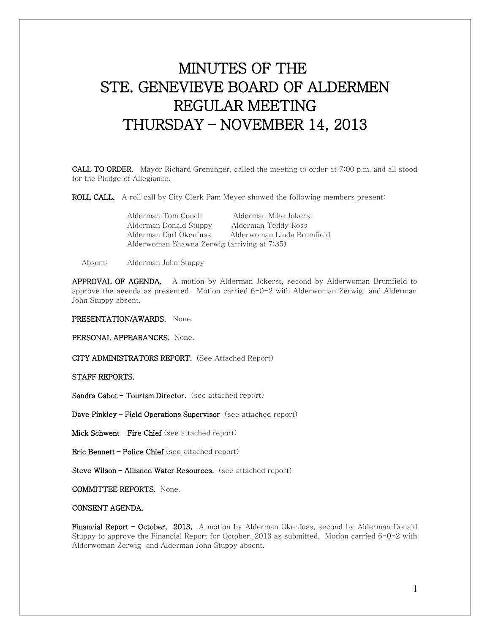# MINUTES OF THE STE. GENEVIEVE BOARD OF ALDERMEN REGULAR MEETING THURSDAY – NOVEMBER 14, 2013

CALL TO ORDER. Mayor Richard Greminger, called the meeting to order at 7:00 p.m. and all stood for the Pledge of Allegiance.

ROLL CALL. A roll call by City Clerk Pam Meyer showed the following members present:

| Alderman Tom Couch                          | Alderman Mike Jokerst      |
|---------------------------------------------|----------------------------|
| Alderman Donald Stuppy                      | Alderman Teddy Ross        |
| Alderman Carl Okenfuss                      | Alderwoman Linda Brumfield |
| Alderwoman Shawna Zerwig (arriving at 7:35) |                            |

Absent: Alderman John Stuppy

APPROVAL OF AGENDA. A motion by Alderman Jokerst, second by Alderwoman Brumfield to approve the agenda as presented. Motion carried  $6-0-2$  with Alderwoman Zerwig and Alderman John Stuppy absent.

## PRESENTATION/AWARDS. None.

PERSONAL APPEARANCES. None.

CITY ADMINISTRATORS REPORT. (See Attached Report)

STAFF REPORTS.

Sandra Cabot – Tourism Director. (see attached report)

Dave Pinkley - Field Operations Supervisor (see attached report)

Mick Schwent – Fire Chief (see attached report)

Eric Bennett – Police Chief (see attached report)

Steve Wilson - Alliance Water Resources. (see attached report)

COMMITTEE REPORTS. None.

# CONSENT AGENDA.

Financial Report - October, 2013. A motion by Alderman Okenfuss, second by Alderman Donald Stuppy to approve the Financial Report for October, 2013 as submitted. Motion carried 6-0-2 with Alderwoman Zerwig and Alderman John Stuppy absent.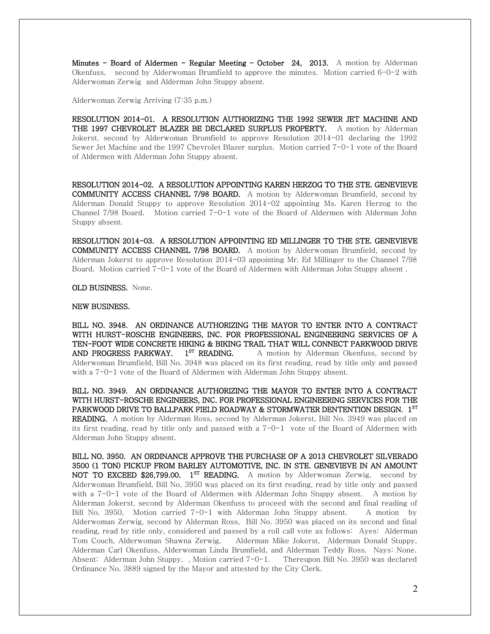Minutes - Board of Aldermen - Regular Meeting - October 24, 2013. A motion by Alderman Okenfuss, second by Alderwoman Brumfield to approve the minutes. Motion carried 6-0-2 with Alderwoman Zerwig and Alderman John Stuppy absent.

Alderwoman Zerwig Arriving (7:35 p.m.)

RESOLUTION 2014-01. A RESOLUTION AUTHORIZING THE 1992 SEWER JET MACHINE AND THE 1997 CHEVROLET BLAZER BE DECLARED SURPLUS PROPERTY. A motion by Alderman Jokerst, second by Alderwoman Brumfield to approve Resolution 2014-01 declaring the 1992 Sewer Jet Machine and the 1997 Chevrolet Blazer surplus. Motion carried 7-0-1 vote of the Board of Aldermen with Alderman John Stuppy absent.

RESOLUTION 2014-02. A RESOLUTION APPOINTING KAREN HERZOG TO THE STE. GENEVIEVE COMMUNITY ACCESS CHANNEL 7/98 BOARD. A motion by Alderwoman Brumfield, second by Alderman Donald Stuppy to approve Resolution 2014-02 appointing Ms. Karen Herzog to the Channel  $7/98$  Board. Motion carried  $7-0-1$  vote of the Board of Aldermen with Alderman John Stuppy absent.

RESOLUTION 2014-03. A RESOLUTION APPOINTING ED MILLINGER TO THE STE. GENEVIEVE COMMUNITY ACCESS CHANNEL 7/98 BOARD. A motion by Alderwoman Brumfield, second by Alderman Jokerst to approve Resolution 2014-03 appointing Mr. Ed Millinger to the Channel 7/98 Board. Motion carried 7-0-1 vote of the Board of Aldermen with Alderman John Stuppy absent .

OLD BUSINESS. None.

#### NEW BUSINESS.

BILL NO. 3948. AN ORDINANCE AUTHORIZING THE MAYOR TO ENTER INTO A CONTRACT WITH HURST-ROSCHE ENGINEERS, INC. FOR PROFESSIONAL ENGINEERING SERVICES OF A TEN-FOOT WIDE CONCRETE HIKING & BIKING TRAIL THAT WILL CONNECT PARKWOOD DRIVE AND PROGRESS PARKWAY.  $1^{ST}$  READING. A motion by Alderman Okenfuss, second by Alderwoman Brumfield, Bill No. 3948 was placed on its first reading, read by title only and passed with a  $7$ -0-1 vote of the Board of Aldermen with Alderman John Stuppy absent.

BILL NO. 3949. AN ORDINANCE AUTHORIZING THE MAYOR TO ENTER INTO A CONTRACT WITH HURST-ROSCHE ENGINEERS, INC. FOR PROFESSIONAL ENGINEERING SERVICES FOR THE PARKWOOD DRIVE TO BALLPARK FIELD ROADWAY & STORMWATER DENTENTION DESIGN.  $1^{ST}$ READING. A motion by Alderman Ross, second by Alderman Jokerst, Bill No. 3949 was placed on its first reading, read by title only and passed with a  $7-0-1$  vote of the Board of Aldermen with Alderman John Stuppy absent.

BILL NO. 3950. AN ORDINANCE APPROVE THE PURCHASE OF A 2013 CHEVROLET SILVERADO 3500 (1 TON) PICKUP FROM BARLEY AUTOMOTIVE, INC. IN STE. GENEVIEVE IN AN AMOUNT NOT TO EXCEED  $$26,799.00$ . 1<sup>st</sup> READING. A motion by Alderwoman Zerwig, second by Alderwoman Brumfield, Bill No. 3950 was placed on its first reading, read by title only and passed with a  $7$ -0-1 vote of the Board of Aldermen with Alderman John Stuppy absent. A motion by Alderman Jokerst, second by Alderman Okenfuss to proceed with the second and final reading of Bill No. 3950. Motion carried 7-0-1 with Alderman John Stuppy absent. A motion by Alderwoman Zerwig, second by Alderman Ross, Bill No. 3950 was placed on its second and final reading, read by title only, considered and passed by a roll call vote as follows: Ayes: Alderman Tom Couch, Alderwoman Shawna Zerwig, Alderman Mike Jokerst, Alderman Donald Stuppy, Alderman Carl Okenfuss, Alderwoman Linda Brumfield, and Alderman Teddy Ross. Nays: None. Absent: Alderman John Stuppy. , Motion carried 7-0-1. Thereupon Bill No. 3950 was declared Ordinance No. 3889 signed by the Mayor and attested by the City Clerk.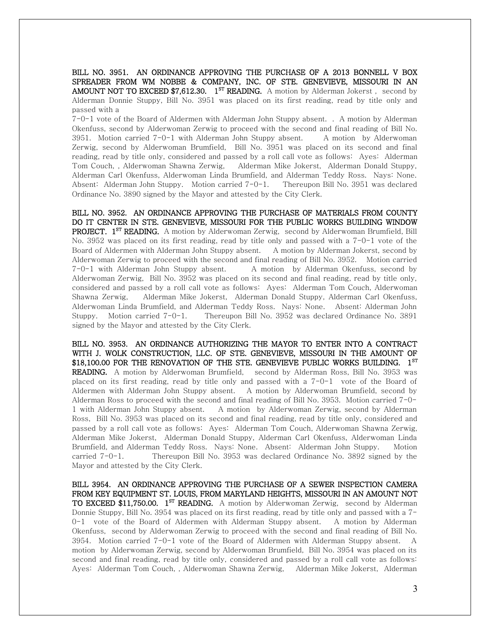BILL NO. 3951. AN ORDINANCE APPROVING THE PURCHASE OF A 2013 BONNELL V BOX SPREADER FROM WM NOBBE & COMPANY, INC. OF STE. GENEVIEVE, MISSOURI IN AN **AMOUNT NOT TO EXCEED \$7,612.30.** 1<sup>st</sup> **READING.** A motion by Alderman Jokerst, second by Alderman Donnie Stuppy, Bill No. 3951 was placed on its first reading, read by title only and passed with a

7-0-1 vote of the Board of Aldermen with Alderman John Stuppy absent. . A motion by Alderman Okenfuss, second by Alderwoman Zerwig to proceed with the second and final reading of Bill No. 3951. Motion carried 7-0-1 with Alderman John Stuppy absent. A motion by Alderwoman Zerwig, second by Alderwoman Brumfield, Bill No. 3951 was placed on its second and final reading, read by title only, considered and passed by a roll call vote as follows: Ayes: Alderman Tom Couch, , Alderwoman Shawna Zerwig, Alderman Mike Jokerst, Alderman Donald Stuppy, Alderman Carl Okenfuss, Alderwoman Linda Brumfield, and Alderman Teddy Ross. Nays: None. Absent: Alderman John Stuppy. Motion carried 7-0-1. Thereupon Bill No. 3951 was declared Ordinance No. 3890 signed by the Mayor and attested by the City Clerk.

BILL NO. 3952. AN ORDINANCE APPROVING THE PURCHASE OF MATERIALS FROM COUNTY DO IT CENTER IN STE. GENEVIEVE, MISSOURI FOR THE PUBLIC WORKS BUILDING WINDOW PROJECT. 1<sup>ST</sup> READING. A motion by Alderwoman Zerwig, second by Alderwoman Brumfield, Bill No. 3952 was placed on its first reading, read by title only and passed with a 7-0-1 vote of the Board of Aldermen with Alderman John Stuppy absent. A motion by Alderman Jokerst, second by Alderwoman Zerwig to proceed with the second and final reading of Bill No. 3952. Motion carried 7-0-1 with Alderman John Stuppy absent. A motion by Alderman Okenfuss, second by Alderwoman Zerwig, Bill No. 3952 was placed on its second and final reading, read by title only, considered and passed by a roll call vote as follows: Ayes: Alderman Tom Couch, Alderwoman Shawna Zerwig, Alderman Mike Jokerst, Alderman Donald Stuppy, Alderman Carl Okenfuss, Alderwoman Linda Brumfield, and Alderman Teddy Ross. Nays: None. Absent: Alderman John Stuppy. Motion carried 7-0-1. Thereupon Bill No. 3952 was declared Ordinance No. 3891 signed by the Mayor and attested by the City Clerk.

BILL NO. 3953. AN ORDINANCE AUTHORIZING THE MAYOR TO ENTER INTO A CONTRACT WITH J. WOLK CONSTRUCTION, LLC. OF STE. GENEVIEVE, MISSOURI IN THE AMOUNT OF \$18,100.00 FOR THE RENOVATION OF THE STE. GENEVIEVE PUBLIC WORKS BUILDING. 1<sup>st</sup> READING. A motion by Alderwoman Brumfield, second by Alderman Ross, Bill No. 3953 was placed on its first reading, read by title only and passed with a  $7-0-1$  vote of the Board of Aldermen with Alderman John Stuppy absent. A motion by Alderwoman Brumfield, second by Alderman Ross to proceed with the second and final reading of Bill No. 3953. Motion carried 7-0- 1 with Alderman John Stuppy absent. A motion by Alderwoman Zerwig, second by Alderman Ross, Bill No. 3953 was placed on its second and final reading, read by title only, considered and passed by a roll call vote as follows: Ayes: Alderman Tom Couch, Alderwoman Shawna Zerwig, Alderman Mike Jokerst, Alderman Donald Stuppy, Alderman Carl Okenfuss, Alderwoman Linda Brumfield, and Alderman Teddy Ross. Nays: None. Absent: Alderman John Stuppy. Motion carried 7-0-1. Thereupon Bill No. 3953 was declared Ordinance No. 3892 signed by the Mayor and attested by the City Clerk.

BILL 3954. AN ORDINANCE APPROVING THE PURCHASE OF A SEWER INSPECTION CAMERA FROM KEY EQUIPMENT ST. LOUIS, FROM MARYLAND HEIGHTS, MISSOURI IN AN AMOUNT NOT TO EXCEED \$11,750.00. 1<sup>st</sup> READING. A motion by Alderwoman Zerwig, second by Alderman Donnie Stuppy, Bill No. 3954 was placed on its first reading, read by title only and passed with a 7- 0-1 vote of the Board of Aldermen with Alderman Stuppy absent. A motion by Alderman Okenfuss, second by Alderwoman Zerwig to proceed with the second and final reading of Bill No. 3954. Motion carried 7-0-1 vote of the Board of Aldermen with Alderman Stuppy absent. A motion by Alderwoman Zerwig, second by Alderwoman Brumfield, Bill No. 3954 was placed on its second and final reading, read by title only, considered and passed by a roll call vote as follows: Ayes: Alderman Tom Couch, , Alderwoman Shawna Zerwig, Alderman Mike Jokerst, Alderman